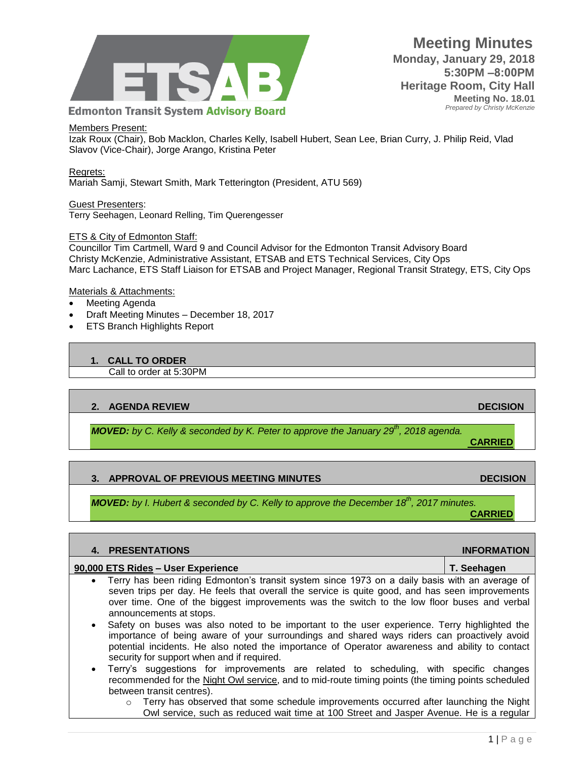

## Members Present:

Izak Roux (Chair), Bob Macklon, Charles Kelly, Isabell Hubert, Sean Lee, Brian Curry, J. Philip Reid, Vlad Slavov (Vice-Chair), Jorge Arango, Kristina Peter

Regrets: Mariah Samji, Stewart Smith, Mark Tetterington (President, ATU 569)

Guest Presenters: Terry Seehagen, Leonard Relling, Tim Querengesser

## ETS & City of Edmonton Staff:

Councillor Tim Cartmell, Ward 9 and Council Advisor for the Edmonton Transit Advisory Board Christy McKenzie, Administrative Assistant, ETSAB and ETS Technical Services, City Ops Marc Lachance, ETS Staff Liaison for ETSAB and Project Manager, Regional Transit Strategy, ETS, City Ops

### Materials & Attachments:

- Meeting Agenda
- Draft Meeting Minutes December 18, 2017
- ETS Branch Highlights Report

## **1. CALL TO ORDER**

Call to order at 5:30PM

## **2. AGENDA REVIEW DECISION**

*MOVED: by C. Kelly & seconded by K. Peter to approve the January 29th, 2018 agenda.*

**CARRIED**

## **3. APPROVAL OF PREVIOUS MEETING MINUTES DECISION**

*MOVED: by I. Hubert & seconded by C. Kelly to approve the December 18th, 2017 minutes.* **CARRIED**

|           | 4. PRESENTATIONS                                                                                                                                                                                                                                                                                                                                                                                                                    | <b>INFORMATION</b> |
|-----------|-------------------------------------------------------------------------------------------------------------------------------------------------------------------------------------------------------------------------------------------------------------------------------------------------------------------------------------------------------------------------------------------------------------------------------------|--------------------|
|           | 90,000 ETS Rides - User Experience                                                                                                                                                                                                                                                                                                                                                                                                  | T. Seehagen        |
|           | • Terry has been riding Edmonton's transit system since 1973 on a daily basis with an average of<br>seven trips per day. He feels that overall the service is quite good, and has seen improvements<br>over time. One of the biggest improvements was the switch to the low floor buses and verbal<br>announcements at stops.                                                                                                       |                    |
| $\bullet$ | Safety on buses was also noted to be important to the user experience. Terry highlighted the<br>importance of being aware of your surroundings and shared ways riders can proactively avoid<br>potential incidents. He also noted the importance of Operator awareness and ability to contact<br>security for support when and if required.<br>Terry's suggestions for improvements are related to scheduling with specific changes |                    |

Terry's suggestions for improvements are related to scheduling, with sp recommended for the [Night Owl service,](http://webdocs.edmonton.ca/transit/route_schedules_and_maps/transit_centre_maps/Night_Owl_Service_Map_Feb2017.pdf) and to mid-route timing points (the timing points scheduled between transit centres).

 $\circ$  Terry has observed that some schedule improvements occurred after launching the Night Owl service, such as reduced wait time at 100 Street and Jasper Avenue. He is a regular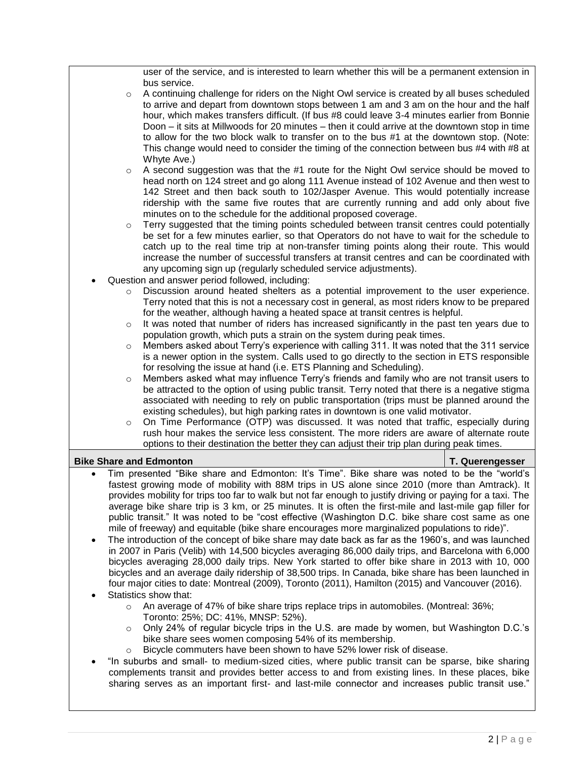user of the service, and is interested to learn whether this will be a permanent extension in bus service.

- $\circ$  A continuing challenge for riders on the Night Owl service is created by all buses scheduled to arrive and depart from downtown stops between 1 am and 3 am on the hour and the half hour, which makes transfers difficult. (If bus #8 could leave 3-4 minutes earlier from Bonnie Doon – it sits at Millwoods for 20 minutes – then it could arrive at the downtown stop in time to allow for the two block walk to transfer on to the bus #1 at the downtown stop. (Note: This change would need to consider the timing of the connection between bus #4 with #8 at Whyte Ave.)
- $\circ$  A second suggestion was that the #1 route for the Night Owl service should be moved to head north on 124 street and go along 111 Avenue instead of 102 Avenue and then west to 142 Street and then back south to 102/Jasper Avenue. This would potentially increase ridership with the same five routes that are currently running and add only about five minutes on to the schedule for the additional proposed coverage.
- Terry suggested that the timing points scheduled between transit centres could potentially be set for a few minutes earlier, so that Operators do not have to wait for the schedule to catch up to the real time trip at non-transfer timing points along their route. This would increase the number of successful transfers at transit centres and can be coordinated with any upcoming sign up (regularly scheduled service adjustments).
- Question and answer period followed, including:
	- $\circ$  Discussion around heated shelters as a potential improvement to the user experience. Terry noted that this is not a necessary cost in general, as most riders know to be prepared for the weather, although having a heated space at transit centres is helpful.
	- $\circ$  It was noted that number of riders has increased significantly in the past ten years due to population growth, which puts a strain on the system during peak times.
	- $\circ$  Members asked about Terry's experience with calling 311. It was noted that the 311 service is a newer option in the system. Calls used to go directly to the section in ETS responsible for resolving the issue at hand (i.e. ETS Planning and Scheduling).
	- $\circ$  Members asked what may influence Terry's friends and family who are not transit users to be attracted to the option of using public transit. Terry noted that there is a negative stigma associated with needing to rely on public transportation (trips must be planned around the existing schedules), but high parking rates in downtown is one valid motivator.
	- o On Time Performance (OTP) was discussed. It was noted that traffic, especially during rush hour makes the service less consistent. The more riders are aware of alternate route options to their destination the better they can adjust their trip plan during peak times.

# **Bike Share and Edmonton T. Querengesser** T. Querengesser

- Tim presented "Bike share and Edmonton: It's Time". Bike share was noted to be the "world's fastest growing mode of mobility with 88M trips in US alone since 2010 (more than Amtrack). It provides mobility for trips too far to walk but not far enough to justify driving or paying for a taxi. The average bike share trip is 3 km, or 25 minutes. It is often the first-mile and last-mile gap filler for public transit." It was noted to be "cost effective (Washington D.C. bike share cost same as one mile of freeway) and equitable (bike share encourages more marginalized populations to ride)".
- The introduction of the concept of bike share may date back as far as the 1960's, and was launched in 2007 in Paris (Velib) with 14,500 bicycles averaging 86,000 daily trips, and Barcelona with 6,000 bicycles averaging 28,000 daily trips. New York started to offer bike share in 2013 with 10, 000 bicycles and an average daily ridership of 38,500 trips. In Canada, bike share has been launched in four major cities to date: Montreal (2009), Toronto (2011), Hamilton (2015) and Vancouver (2016).
- Statistics show that:
	- o An average of 47% of bike share trips replace trips in automobiles. (Montreal: 36%; Toronto: 25%; DC: 41%, MNSP: 52%).
	- o Only 24% of regular bicycle trips in the U.S. are made by women, but Washington D.C.'s bike share sees women composing 54% of its membership.
	- o Bicycle commuters have been shown to have 52% lower risk of disease.
- "In suburbs and small- to medium-sized cities, where public transit can be sparse, bike sharing complements transit and provides better access to and from existing lines. In these places, bike sharing serves as an important first- and last-mile connector and increases public transit use."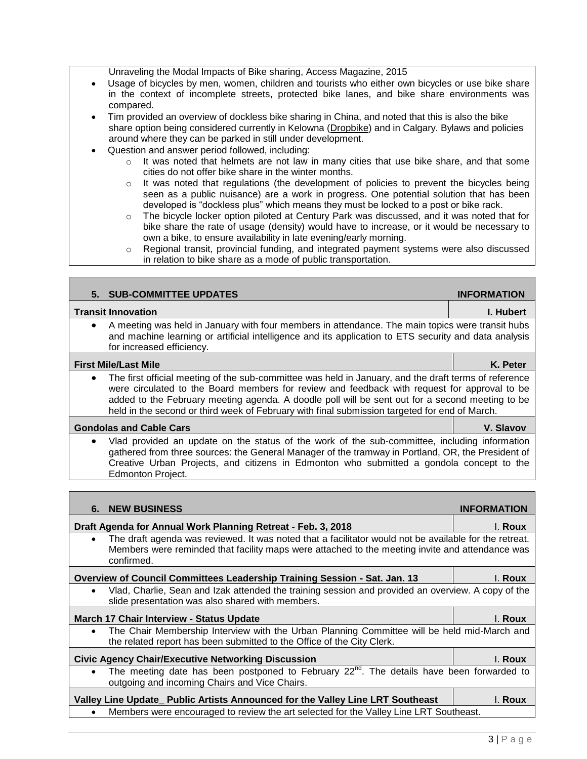Unraveling the Modal Impacts of Bike sharing, Access Magazine, 2015

- Usage of bicycles by men, women, children and tourists who either own bicycles or use bike share in the context of incomplete streets, protected bike lanes, and bike share environments was compared.
- Tim provided an overview of dockless bike sharing in China, and noted that this is also the bike share option being considered currently in Kelowna [\(Dropbike\)](https://dropbike.ca/) and in Calgary. Bylaws and policies around where they can be parked in still under development.
- Question and answer period followed, including:

for increased efficiency.

- o It was noted that helmets are not law in many cities that use bike share, and that some cities do not offer bike share in the winter months.
- $\circ$  It was noted that regulations (the development of policies to prevent the bicycles being seen as a public nuisance) are a work in progress. One potential solution that has been developed is "dockless plus" which means they must be locked to a post or bike rack.
- o The bicycle locker option piloted at Century Park was discussed, and it was noted that for bike share the rate of usage (density) would have to increase, or it would be necessary to own a bike, to ensure availability in late evening/early morning.
- o Regional transit, provincial funding, and integrated payment systems were also discussed in relation to bike share as a mode of public transportation.

**5.** SUB-COMMITTEE UPDATES **INFORMATION** 

 A meeting was held in January with four members in attendance. The main topics were transit hubs and machine learning or artificial intelligence and its application to ETS security and data analysis

 The first official meeting of the sub-committee was held in January, and the draft terms of reference were circulated to the Board members for review and feedback with request for approval to be added to the February meeting agenda. A doodle poll will be sent out for a second meeting to be

 Vlad provided an update on the status of the work of the sub-committee, including information gathered from three sources: the General Manager of the tramway in Portland, OR, the President of

**Transit Innovation I. Hubert**

**First Mile/Last Mile K. Peter**

held in the second or third week of February with final submission targeted for end of March. **Gondolas and Cable Cars V. Slavov**

| Creative Urban Projects, and citizens in Edmonton who submitted a gondola concept to the<br>Edmonton Project.                                                                                                                        |                    |  |
|--------------------------------------------------------------------------------------------------------------------------------------------------------------------------------------------------------------------------------------|--------------------|--|
|                                                                                                                                                                                                                                      |                    |  |
| <b>6. NEW BUSINESS</b>                                                                                                                                                                                                               | <b>INFORMATION</b> |  |
| Draft Agenda for Annual Work Planning Retreat - Feb. 3, 2018                                                                                                                                                                         | I. Roux            |  |
| The draft agenda was reviewed. It was noted that a facilitator would not be available for the retreat.<br>$\bullet$<br>Members were reminded that facility maps were attached to the meeting invite and attendance was<br>confirmed. |                    |  |
| Overview of Council Committees Leadership Training Session - Sat. Jan. 13                                                                                                                                                            | l. Roux            |  |
| Vlad, Charlie, Sean and Izak attended the training session and provided an overview. A copy of the<br>$\bullet$<br>slide presentation was also shared with members.                                                                  |                    |  |
| <b>March 17 Chair Interview - Status Update</b>                                                                                                                                                                                      | I. Roux            |  |
| The Chair Membership Interview with the Urban Planning Committee will be held mid-March and<br>$\bullet$<br>the related report has been submitted to the Office of the City Clerk.                                                   |                    |  |
| <b>Civic Agency Chair/Executive Networking Discussion</b>                                                                                                                                                                            | I. Roux            |  |
| The meeting date has been postponed to February $22^{nd}$ . The details have been forwarded to<br>$\bullet$<br>outgoing and incoming Chairs and Vice Chairs.                                                                         |                    |  |
| Valley Line Update_ Public Artists Announced for the Valley Line LRT Southeast                                                                                                                                                       | l. Roux            |  |
| Members were encouraged to review the art selected for the Valley Line LRT Southeast.                                                                                                                                                |                    |  |